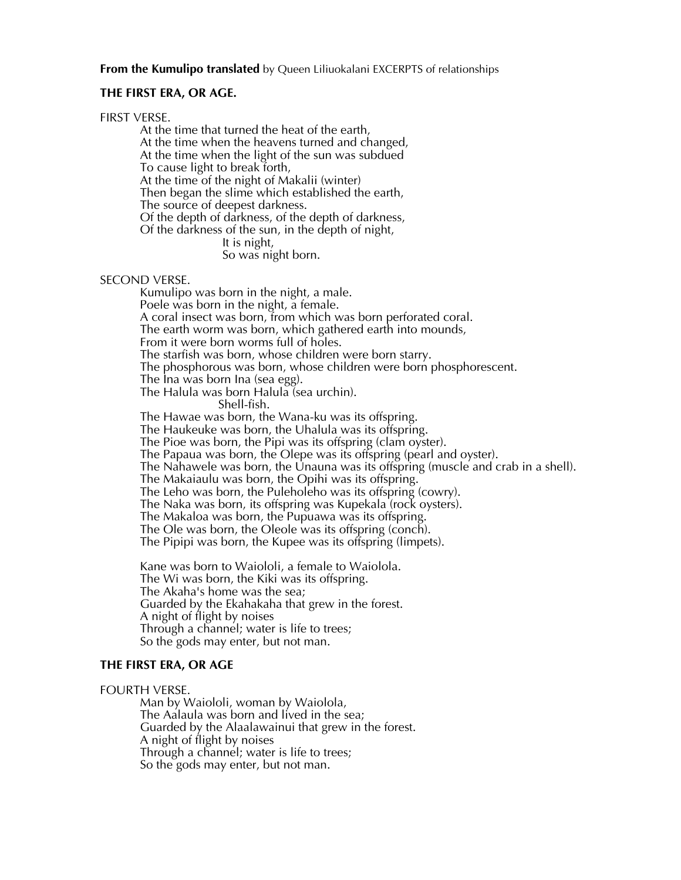**From the Kumulipo translated** by Queen Liliuokalani EXCERPTS of relationships

# **THE FIRST ERA, OR AGE.**

FIRST VERSE.

At the time that turned the heat of the earth, At the time when the heavens turned and changed, At the time when the light of the sun was subdued To cause light to break forth, At the time of the night of Makalii (winter) Then began the slime which established the earth, The source of deepest darkness. Of the depth of darkness, of the depth of darkness, Of the darkness of the sun, in the depth of night, It is night, So was night born.

SECOND VERSE.

Kumulipo was born in the night, a male.

Poele was born in the night, a female.

A coral insect was born, from which was born perforated coral.

The earth worm was born, which gathered earth into mounds,

From it were born worms full of holes.

The starfish was born, whose children were born starry.

The phosphorous was born, whose children were born phosphorescent.

The Ina was born Ina (sea egg).

The Halula was born Halula (sea urchin).

## Shell-fish.

The Hawae was born, the Wana-ku was its offspring.

The Haukeuke was born, the Uhalula was its offspring.

The Pioe was born, the Pipi was its offspring (clam oyster).

The Papaua was born, the Olepe was its offspring (pearl and oyster).

The Nahawele was born, the Unauna was its offspring (muscle and crab in a shell).

The Makaiaulu was born, the Opihi was its offspring.

The Leho was born, the Puleholeho was its offspring (cowry).

The Naka was born, its offspring was Kupekala (rock oysters).

The Makaloa was born, the Pupuawa was its offspring.

The Ole was born, the Oleole was its offspring (conch).

The Pipipi was born, the Kupee was its offspring (limpets).

Kane was born to Waiololi, a female to Waiolola. The Wi was born, the Kiki was its offspring. The Akaha's home was the sea; Guarded by the Ekahakaha that grew in the forest. A night of flight by noises Through a channel; water is life to trees; So the gods may enter, but not man.

# **THE FIRST ERA, OR AGE**

## FOURTH VERSE.

Man by Waiololi, woman by Waiolola, The Aalaula was born and lived in the sea; Guarded by the Alaalawainui that grew in the forest. A night of flight by noises Through a channel; water is life to trees; So the gods may enter, but not man.